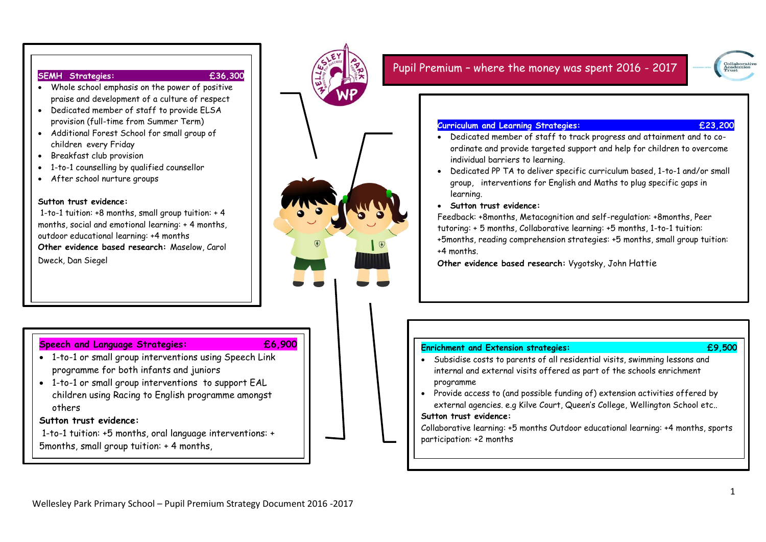#### **SEMH Strategies: £36,300**

- **Num** Whole school emphasis on the power of positive  $\vert$  praise and development of a culture of respect  $\vert$
- Dedicated member of staff to provide  $ELSA$ provision (full-time from Summer Term)
- $\bullet$  Additional Forest School for small group of interventions for English and Mathematical specific gaps and Mathematical specific gaps of  $\sim$ in learning.
- **•** Breakfast club provision
- $\begin{array}{cl} \bullet & \text{1-to-1} \text{ countelling by qualified count.} \end{array}$
- $\bullet$   $\,$  After school nurture groups  $\,$

### Sutton trust evidence:

1-to-1 tuition:  $+8$  months, small group tuition:  $+4$ months, social and emotional learning: + 4 months, Improved engagement of pupil premium children and a better outdoor educational learning: +4 months **Other evidence based research:** Maselow, Carol Dweck, Dan Siegel

### children to make accelerated progress. **Speech and Language Strategies: £6,900**

- 
- programme for both infants and juniors challeng open individual children of 1-to-1 or small group interventions using Speech Link

Improved engagement of pupil premium children and a better understanding

**a** 1-to-1 or small group interventions to support EAL  $\mathcal{L}$  to dedicate  $\mathcal{L}$  to define specific curriculum based interventions for  $\mathcal{L}$ and to plug specific gaps in learning. d Maths English an **Success critieria:** children using Racing to English programme amongst others

### **Sutton trust evidence:**

 **Strategies: Curriculum and Learning**  - Dedicated member of staff to track progress and attainment and to co 5months, small group tuition: + 4 months, 1-to-1 tuition: +5 months, oral language interventions: +



- internal and external visits offered as part of the schools enrichment • Subsidise costs to parents of all residential visits, swimming lessons and programme
- **Success critieria:** Assess to take better are consistent are consistent are consistent are consistent are consistent are consistent and the external agencies. e.g Kilve Court, Queen's College, Wellington School etc..  $\bullet$  Provide access to (and possible funding of) extension activities offered by

### **Sutton trust evidence:**

participation: +2 months individual barriers to overcome individual barriers to learning. The children to learn Collaborative learning: +5 months Outdoor educational learning: +4 months, sports  $\qquad \qquad \mid$ 

ordinate and - Dedicated member of staff to track progress and attainment and to contract progress and to contract progress and to contract progress and to contract progress and to contract progress and to contract progre

needs.

**Strategies: Curriculum and Learning** 

# Pupil Premium – where the money was spent 2016 - 2017

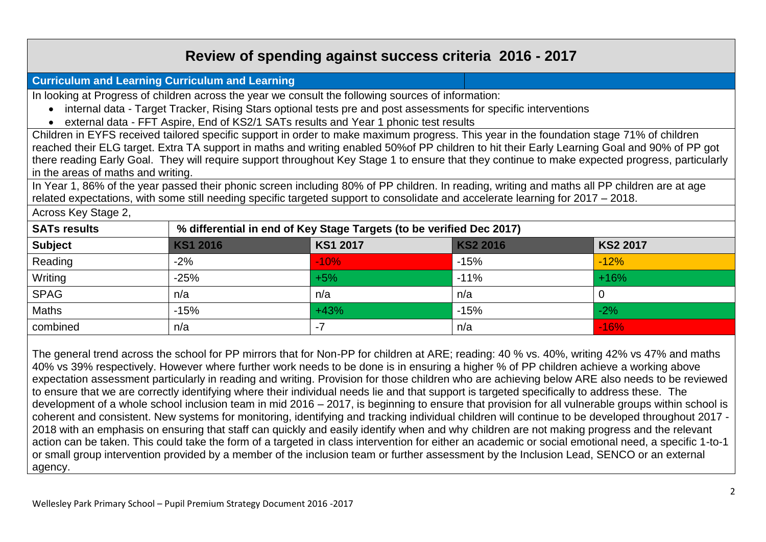# **Review of spending against success criteria 2016 - 2017**

# **Curriculum and Learning Curriculum and Learning**

In looking at Progress of children across the year we consult the following sources of information:

- internal data Target Tracker, Rising Stars optional tests pre and post assessments for specific interventions
- external data FFT Aspire, End of KS2/1 SATs results and Year 1 phonic test results

Children in EYFS received tailored specific support in order to make maximum progress. This year in the foundation stage 71% of children reached their ELG target. Extra TA support in maths and writing enabled 50%of PP children to hit their Early Learning Goal and 90% of PP got there reading Early Goal. They will require support throughout Key Stage 1 to ensure that they continue to make expected progress, particularly in the areas of maths and writing.

In Year 1, 86% of the year passed their phonic screen including 80% of PP children. In reading, writing and maths all PP children are at age related expectations, with some still needing specific targeted support to consolidate and accelerate learning for 2017 – 2018.

Across Key Stage 2,

| <b>SATs results</b> | % differential in end of Key Stage Targets (to be verified Dec 2017) |          |          |          |
|---------------------|----------------------------------------------------------------------|----------|----------|----------|
| <b>Subject</b>      | KS1 2016                                                             | KS1 2017 | KS2 2016 | KS2 2017 |
| Reading             | $-2%$                                                                | $-10%$   | $-15%$   | $-12%$   |
| Writing             | $-25%$                                                               | $+5%$    | $-11%$   | $+16%$   |
| <b>SPAG</b>         | n/a                                                                  | n/a      | n/a      |          |
| <b>Maths</b>        | $-15%$                                                               | $+43%$   | $-15%$   | $-2%$    |
| combined            | n/a                                                                  | -7       | n/a      | $-16%$   |

The general trend across the school for PP mirrors that for Non-PP for children at ARE; reading: 40 % vs. 40%, writing 42% vs 47% and maths 40% vs 39% respectively. However where further work needs to be done is in ensuring a higher % of PP children achieve a working above expectation assessment particularly in reading and writing. Provision for those children who are achieving below ARE also needs to be reviewed to ensure that we are correctly identifying where their individual needs lie and that support is targeted specifically to address these. The development of a whole school inclusion team in mid 2016 – 2017, is beginning to ensure that provision for all vulnerable groups within school is coherent and consistent. New systems for monitoring, identifying and tracking individual children will continue to be developed throughout 2017 - 2018 with an emphasis on ensuring that staff can quickly and easily identify when and why children are not making progress and the relevant action can be taken. This could take the form of a targeted in class intervention for either an academic or social emotional need, a specific 1-to-1 or small group intervention provided by a member of the inclusion team or further assessment by the Inclusion Lead, SENCO or an external agency.